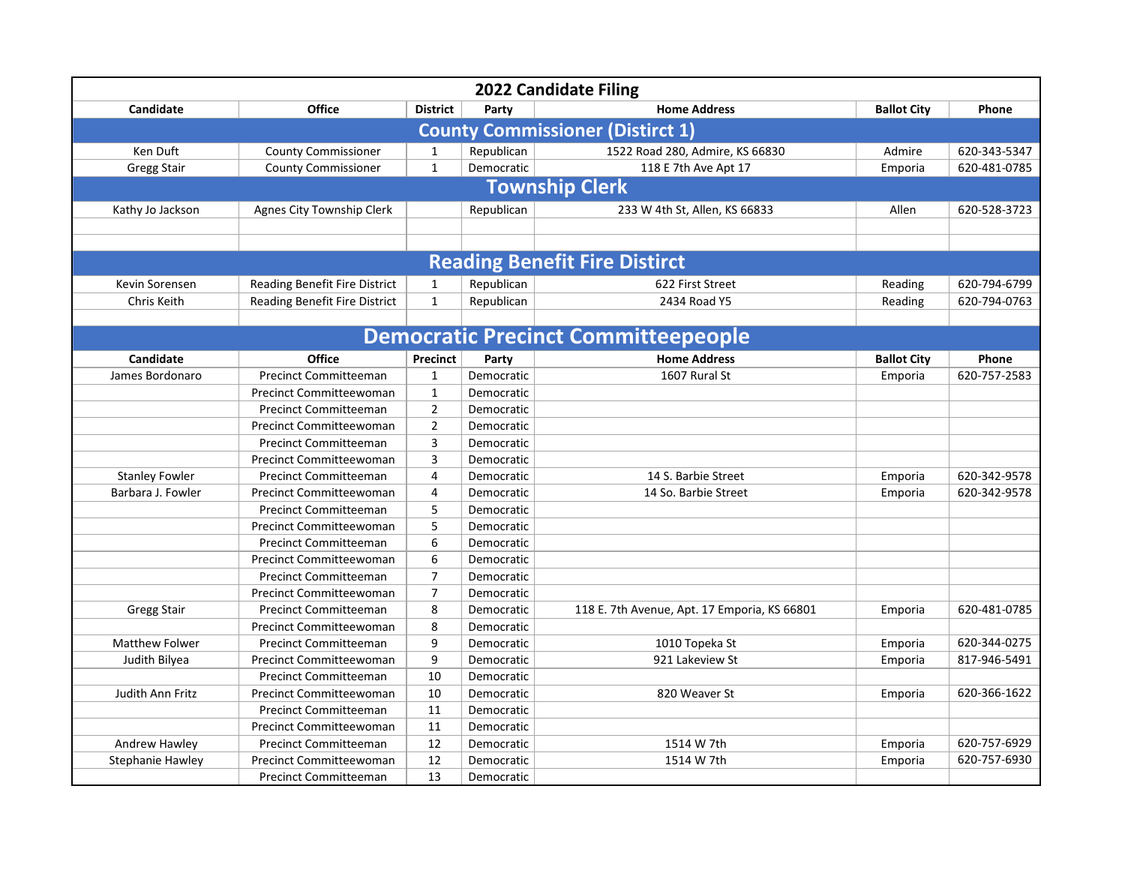| 2022 Candidate Filing                   |                                |                 |            |                                              |                    |              |  |  |
|-----------------------------------------|--------------------------------|-----------------|------------|----------------------------------------------|--------------------|--------------|--|--|
| Candidate                               | <b>Office</b>                  | <b>District</b> | Party      | <b>Home Address</b>                          | <b>Ballot City</b> | Phone        |  |  |
| <b>County Commissioner (Distirct 1)</b> |                                |                 |            |                                              |                    |              |  |  |
| Ken Duft                                | <b>County Commissioner</b>     | $\mathbf{1}$    | Republican | 1522 Road 280, Admire, KS 66830              | Admire             | 620-343-5347 |  |  |
| <b>Gregg Stair</b>                      | <b>County Commissioner</b>     | $\mathbf{1}$    | Democratic | 118 E 7th Ave Apt 17                         | Emporia            | 620-481-0785 |  |  |
| <b>Township Clerk</b>                   |                                |                 |            |                                              |                    |              |  |  |
| Kathy Jo Jackson                        | Agnes City Township Clerk      |                 | Republican | 233 W 4th St, Allen, KS 66833                | Allen              | 620-528-3723 |  |  |
|                                         |                                |                 |            |                                              |                    |              |  |  |
|                                         |                                |                 |            |                                              |                    |              |  |  |
|                                         |                                |                 |            | <b>Reading Benefit Fire Distirct</b>         |                    |              |  |  |
| Kevin Sorensen                          | Reading Benefit Fire District  | $\mathbf{1}$    | Republican | 622 First Street                             | Reading            | 620-794-6799 |  |  |
| Chris Keith                             | Reading Benefit Fire District  | $\mathbf{1}$    | Republican | 2434 Road Y5                                 | Reading            | 620-794-0763 |  |  |
|                                         |                                |                 |            |                                              |                    |              |  |  |
|                                         |                                |                 |            | <b>Democratic Precinct Committeepeople</b>   |                    |              |  |  |
| Candidate                               | <b>Office</b>                  | Precinct        | Party      | <b>Home Address</b>                          | <b>Ballot City</b> | Phone        |  |  |
| James Bordonaro                         | <b>Precinct Committeeman</b>   | $\mathbf{1}$    | Democratic | 1607 Rural St                                | Emporia            | 620-757-2583 |  |  |
|                                         | Precinct Committeewoman        | $\mathbf{1}$    | Democratic |                                              |                    |              |  |  |
|                                         | <b>Precinct Committeeman</b>   | $\overline{2}$  | Democratic |                                              |                    |              |  |  |
|                                         | Precinct Committeewoman        | $\overline{2}$  | Democratic |                                              |                    |              |  |  |
|                                         | <b>Precinct Committeeman</b>   | 3               | Democratic |                                              |                    |              |  |  |
|                                         | <b>Precinct Committeewoman</b> | 3               | Democratic |                                              |                    |              |  |  |
| <b>Stanley Fowler</b>                   | <b>Precinct Committeeman</b>   | 4               | Democratic | 14 S. Barbie Street                          | Emporia            | 620-342-9578 |  |  |
| Barbara J. Fowler                       | Precinct Committeewoman        | 4               | Democratic | 14 So. Barbie Street                         | Emporia            | 620-342-9578 |  |  |
|                                         | <b>Precinct Committeeman</b>   | 5               | Democratic |                                              |                    |              |  |  |
|                                         | <b>Precinct Committeewoman</b> | 5               | Democratic |                                              |                    |              |  |  |
|                                         | <b>Precinct Committeeman</b>   | 6               | Democratic |                                              |                    |              |  |  |
|                                         | Precinct Committeewoman        | 6               | Democratic |                                              |                    |              |  |  |
|                                         | <b>Precinct Committeeman</b>   | $\overline{7}$  | Democratic |                                              |                    |              |  |  |
|                                         | Precinct Committeewoman        | 7               | Democratic |                                              |                    |              |  |  |
| <b>Gregg Stair</b>                      | <b>Precinct Committeeman</b>   | 8               | Democratic | 118 E. 7th Avenue, Apt. 17 Emporia, KS 66801 | Emporia            | 620-481-0785 |  |  |
|                                         | Precinct Committeewoman        | 8               | Democratic |                                              |                    |              |  |  |
| <b>Matthew Folwer</b>                   | <b>Precinct Committeeman</b>   | 9               | Democratic | 1010 Topeka St                               | Emporia            | 620-344-0275 |  |  |
| Judith Bilyea                           | Precinct Committeewoman        | 9               | Democratic | 921 Lakeview St                              | Emporia            | 817-946-5491 |  |  |
|                                         | <b>Precinct Committeeman</b>   | 10              | Democratic |                                              |                    |              |  |  |
| Judith Ann Fritz                        | Precinct Committeewoman        | 10              | Democratic | 820 Weaver St                                | Emporia            | 620-366-1622 |  |  |
|                                         | <b>Precinct Committeeman</b>   | 11              | Democratic |                                              |                    |              |  |  |
|                                         | <b>Precinct Committeewoman</b> | 11              | Democratic |                                              |                    |              |  |  |
| Andrew Hawley                           | <b>Precinct Committeeman</b>   | 12              | Democratic | 1514 W 7th                                   | Emporia            | 620-757-6929 |  |  |
| <b>Stephanie Hawley</b>                 | Precinct Committeewoman        | 12              | Democratic | 1514 W 7th                                   | Emporia            | 620-757-6930 |  |  |
|                                         | <b>Precinct Committeeman</b>   | 13              | Democratic |                                              |                    |              |  |  |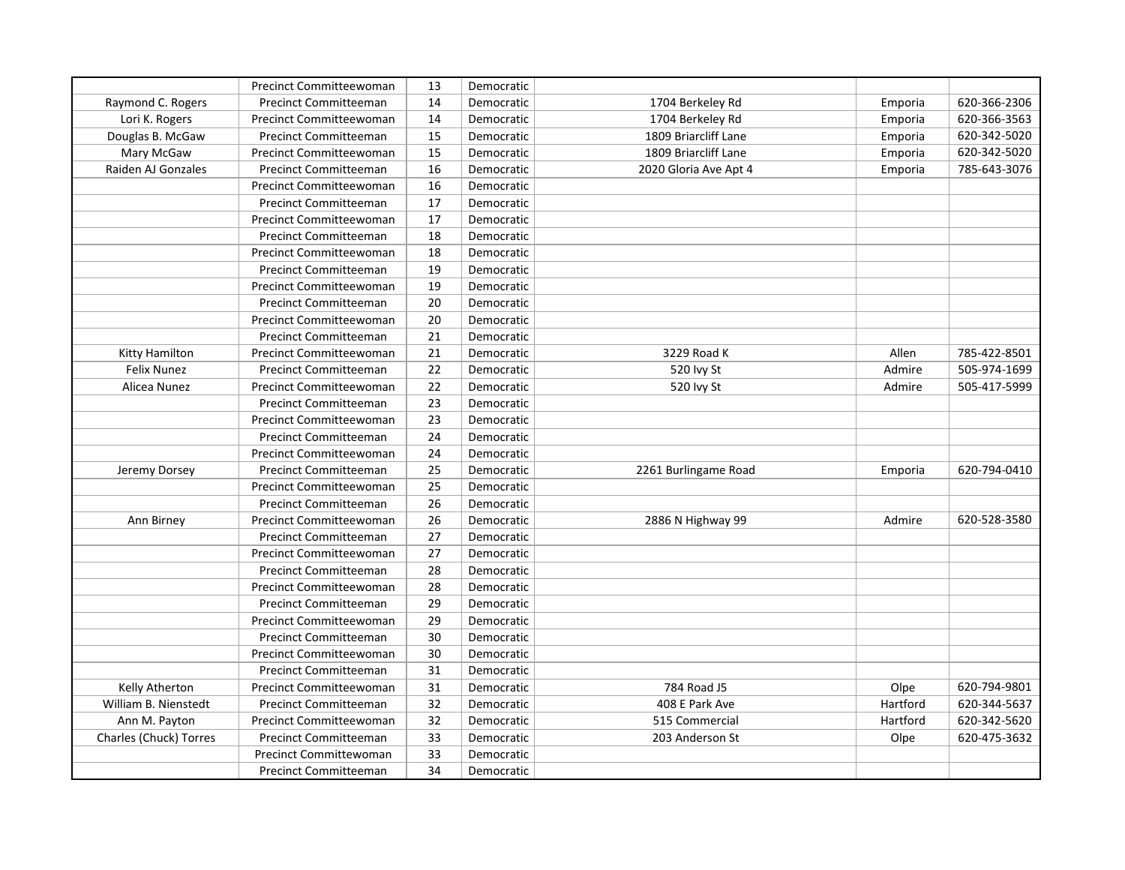|                        | Precinct Committeewoman        | 13 | Democratic |                       |          |              |
|------------------------|--------------------------------|----|------------|-----------------------|----------|--------------|
| Raymond C. Rogers      | <b>Precinct Committeeman</b>   | 14 | Democratic | 1704 Berkeley Rd      | Emporia  | 620-366-2306 |
| Lori K. Rogers         | <b>Precinct Committeewoman</b> | 14 | Democratic | 1704 Berkeley Rd      | Emporia  | 620-366-3563 |
| Douglas B. McGaw       | <b>Precinct Committeeman</b>   | 15 | Democratic | 1809 Briarcliff Lane  | Emporia  | 620-342-5020 |
| Mary McGaw             | Precinct Committeewoman        | 15 | Democratic | 1809 Briarcliff Lane  | Emporia  | 620-342-5020 |
| Raiden AJ Gonzales     | <b>Precinct Committeeman</b>   | 16 | Democratic | 2020 Gloria Ave Apt 4 | Emporia  | 785-643-3076 |
|                        | Precinct Committeewoman        | 16 | Democratic |                       |          |              |
|                        | <b>Precinct Committeeman</b>   | 17 | Democratic |                       |          |              |
|                        | Precinct Committeewoman        | 17 | Democratic |                       |          |              |
|                        | <b>Precinct Committeeman</b>   | 18 | Democratic |                       |          |              |
|                        | Precinct Committeewoman        | 18 | Democratic |                       |          |              |
|                        | <b>Precinct Committeeman</b>   | 19 | Democratic |                       |          |              |
|                        | <b>Precinct Committeewoman</b> | 19 | Democratic |                       |          |              |
|                        | <b>Precinct Committeeman</b>   | 20 | Democratic |                       |          |              |
|                        | Precinct Committeewoman        | 20 | Democratic |                       |          |              |
|                        | <b>Precinct Committeeman</b>   | 21 | Democratic |                       |          |              |
| Kitty Hamilton         | <b>Precinct Committeewoman</b> | 21 | Democratic | 3229 Road K           | Allen    | 785-422-8501 |
| Felix Nunez            | <b>Precinct Committeeman</b>   | 22 | Democratic | 520 lvy St            | Admire   | 505-974-1699 |
| Alicea Nunez           | Precinct Committeewoman        | 22 | Democratic | 520 lvy St            | Admire   | 505-417-5999 |
|                        | <b>Precinct Committeeman</b>   | 23 | Democratic |                       |          |              |
|                        | Precinct Committeewoman        | 23 | Democratic |                       |          |              |
|                        | <b>Precinct Committeeman</b>   | 24 | Democratic |                       |          |              |
|                        | Precinct Committeewoman        | 24 | Democratic |                       |          |              |
| Jeremy Dorsey          | <b>Precinct Committeeman</b>   | 25 | Democratic | 2261 Burlingame Road  | Emporia  | 620-794-0410 |
|                        | Precinct Committeewoman        | 25 | Democratic |                       |          |              |
|                        | <b>Precinct Committeeman</b>   | 26 | Democratic |                       |          |              |
| Ann Birney             | <b>Precinct Committeewoman</b> | 26 | Democratic | 2886 N Highway 99     | Admire   | 620-528-3580 |
|                        | <b>Precinct Committeeman</b>   | 27 | Democratic |                       |          |              |
|                        | <b>Precinct Committeewoman</b> | 27 | Democratic |                       |          |              |
|                        | <b>Precinct Committeeman</b>   | 28 | Democratic |                       |          |              |
|                        | Precinct Committeewoman        | 28 | Democratic |                       |          |              |
|                        | Precinct Committeeman          | 29 | Democratic |                       |          |              |
|                        | <b>Precinct Committeewoman</b> | 29 | Democratic |                       |          |              |
|                        | Precinct Committeeman          | 30 | Democratic |                       |          |              |
|                        | Precinct Committeewoman        | 30 | Democratic |                       |          |              |
|                        | <b>Precinct Committeeman</b>   | 31 | Democratic |                       |          |              |
| Kelly Atherton         | <b>Precinct Committeewoman</b> | 31 | Democratic | 784 Road J5           | Olpe     | 620-794-9801 |
| William B. Nienstedt   | <b>Precinct Committeeman</b>   | 32 | Democratic | 408 E Park Ave        | Hartford | 620-344-5637 |
| Ann M. Payton          | <b>Precinct Committeewoman</b> | 32 | Democratic | 515 Commercial        | Hartford | 620-342-5620 |
| Charles (Chuck) Torres | <b>Precinct Committeeman</b>   | 33 | Democratic | 203 Anderson St       | Olpe     | 620-475-3632 |
|                        | Precinct Committewoman         | 33 | Democratic |                       |          |              |
|                        | <b>Precinct Committeeman</b>   | 34 | Democratic |                       |          |              |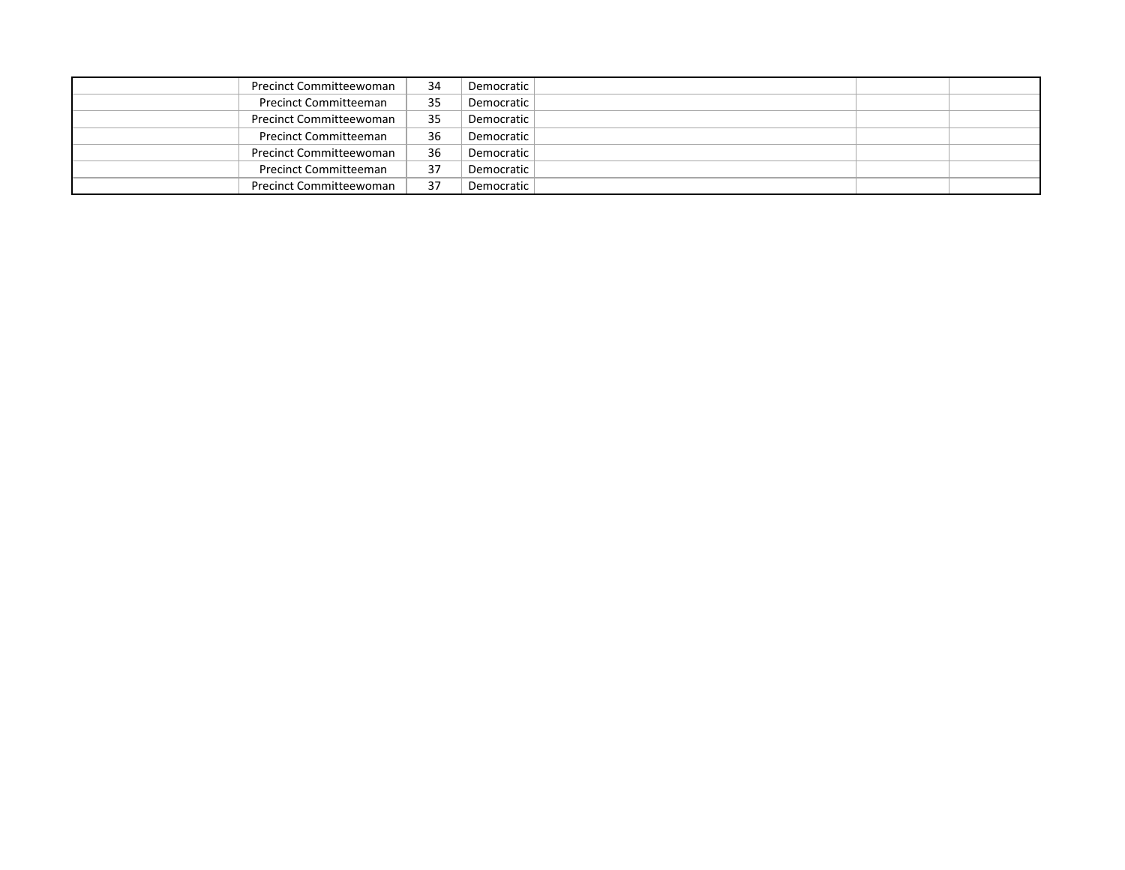| Precinct Committeewoman        | 34 | Democratic |  |
|--------------------------------|----|------------|--|
| <b>Precinct Committeeman</b>   | 35 | Democratic |  |
| <b>Precinct Committeewoman</b> | 35 | Democratic |  |
| <b>Precinct Committeeman</b>   | 36 | Democratic |  |
| <b>Precinct Committeewoman</b> | 36 | Democratic |  |
| <b>Precinct Committeeman</b>   | 37 | Democratic |  |
| <b>Precinct Committeewoman</b> | 37 | Democratic |  |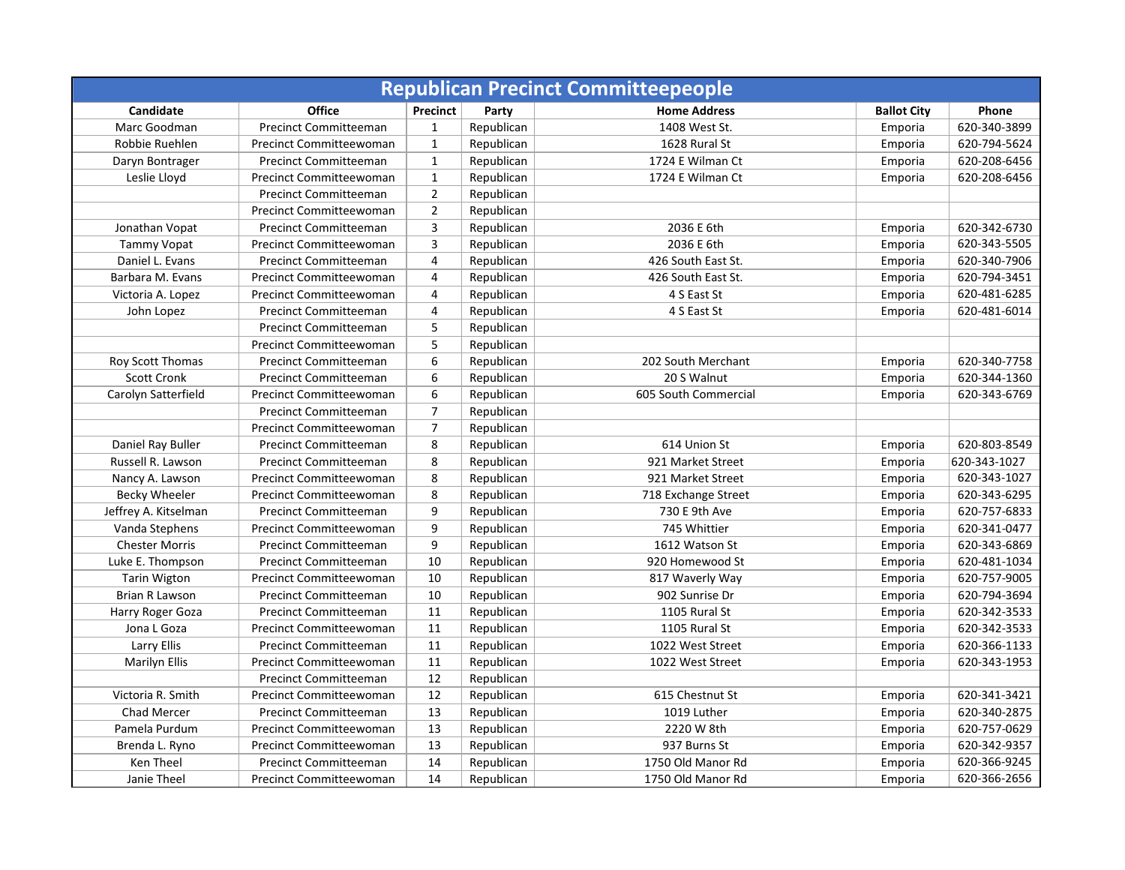| <b>Republican Precinct Committeepeople</b> |                                |                         |            |                      |                    |              |  |
|--------------------------------------------|--------------------------------|-------------------------|------------|----------------------|--------------------|--------------|--|
| Candidate                                  | <b>Office</b>                  | Precinct                | Party      | <b>Home Address</b>  | <b>Ballot City</b> | Phone        |  |
| Marc Goodman                               | Precinct Committeeman          | $\mathbf{1}$            | Republican | 1408 West St.        | Emporia            | 620-340-3899 |  |
| Robbie Ruehlen                             | Precinct Committeewoman        | $\mathbf{1}$            | Republican | 1628 Rural St        | Emporia            | 620-794-5624 |  |
| Daryn Bontrager                            | <b>Precinct Committeeman</b>   | $\mathbf 1$             | Republican | 1724 E Wilman Ct     | Emporia            | 620-208-6456 |  |
| Leslie Lloyd                               | Precinct Committeewoman        | $\mathbf 1$             | Republican | 1724 E Wilman Ct     | Emporia            | 620-208-6456 |  |
|                                            | <b>Precinct Committeeman</b>   | $\overline{2}$          | Republican |                      |                    |              |  |
|                                            | <b>Precinct Committeewoman</b> | $\overline{2}$          | Republican |                      |                    |              |  |
| Jonathan Vopat                             | <b>Precinct Committeeman</b>   | $\overline{3}$          | Republican | 2036 E 6th           | Emporia            | 620-342-6730 |  |
| Tammy Vopat                                | <b>Precinct Committeewoman</b> | $\overline{\mathbf{3}}$ | Republican | 2036 E 6th           | Emporia            | 620-343-5505 |  |
| Daniel L. Evans                            | <b>Precinct Committeeman</b>   | $\overline{4}$          | Republican | 426 South East St.   | Emporia            | 620-340-7906 |  |
| Barbara M. Evans                           | Precinct Committeewoman        | 4                       | Republican | 426 South East St.   | Emporia            | 620-794-3451 |  |
| Victoria A. Lopez                          | <b>Precinct Committeewoman</b> | 4                       | Republican | 4 S East St          | Emporia            | 620-481-6285 |  |
| John Lopez                                 | <b>Precinct Committeeman</b>   | 4                       | Republican | 4 S East St          | Emporia            | 620-481-6014 |  |
|                                            | <b>Precinct Committeeman</b>   | 5                       | Republican |                      |                    |              |  |
|                                            | <b>Precinct Committeewoman</b> | 5                       | Republican |                      |                    |              |  |
| Roy Scott Thomas                           | <b>Precinct Committeeman</b>   | 6                       | Republican | 202 South Merchant   | Emporia            | 620-340-7758 |  |
| <b>Scott Cronk</b>                         | <b>Precinct Committeeman</b>   | 6                       | Republican | 20 S Walnut          | Emporia            | 620-344-1360 |  |
| Carolyn Satterfield                        | Precinct Committeewoman        | 6                       | Republican | 605 South Commercial | Emporia            | 620-343-6769 |  |
|                                            | <b>Precinct Committeeman</b>   | $\overline{7}$          | Republican |                      |                    |              |  |
|                                            | <b>Precinct Committeewoman</b> | $\overline{7}$          | Republican |                      |                    |              |  |
| Daniel Ray Buller                          | <b>Precinct Committeeman</b>   | 8                       | Republican | 614 Union St         | Emporia            | 620-803-8549 |  |
| Russell R. Lawson                          | <b>Precinct Committeeman</b>   | 8                       | Republican | 921 Market Street    | Emporia            | 620-343-1027 |  |
| Nancy A. Lawson                            | Precinct Committeewoman        | 8                       | Republican | 921 Market Street    | Emporia            | 620-343-1027 |  |
| Becky Wheeler                              | Precinct Committeewoman        | 8                       | Republican | 718 Exchange Street  | Emporia            | 620-343-6295 |  |
| Jeffrey A. Kitselman                       | <b>Precinct Committeeman</b>   | 9                       | Republican | 730 E 9th Ave        | Emporia            | 620-757-6833 |  |
| Vanda Stephens                             | Precinct Committeewoman        | 9                       | Republican | 745 Whittier         | Emporia            | 620-341-0477 |  |
| <b>Chester Morris</b>                      | <b>Precinct Committeeman</b>   | 9                       | Republican | 1612 Watson St       | Emporia            | 620-343-6869 |  |
| Luke E. Thompson                           | <b>Precinct Committeeman</b>   | 10                      | Republican | 920 Homewood St      | Emporia            | 620-481-1034 |  |
| <b>Tarin Wigton</b>                        | Precinct Committeewoman        | 10                      | Republican | 817 Waverly Way      | Emporia            | 620-757-9005 |  |
| Brian R Lawson                             | <b>Precinct Committeeman</b>   | 10                      | Republican | 902 Sunrise Dr       | Emporia            | 620-794-3694 |  |
| Harry Roger Goza                           | <b>Precinct Committeeman</b>   | 11                      | Republican | 1105 Rural St        | Emporia            | 620-342-3533 |  |
| Jona L Goza                                | Precinct Committeewoman        | 11                      | Republican | 1105 Rural St        | Emporia            | 620-342-3533 |  |
| Larry Ellis                                | <b>Precinct Committeeman</b>   | 11                      | Republican | 1022 West Street     | Emporia            | 620-366-1133 |  |
| Marilyn Ellis                              | Precinct Committeewoman        | 11                      | Republican | 1022 West Street     | Emporia            | 620-343-1953 |  |
|                                            | <b>Precinct Committeeman</b>   | 12                      | Republican |                      |                    |              |  |
| Victoria R. Smith                          | <b>Precinct Committeewoman</b> | 12                      | Republican | 615 Chestnut St      | Emporia            | 620-341-3421 |  |
| <b>Chad Mercer</b>                         | <b>Precinct Committeeman</b>   | 13                      | Republican | 1019 Luther          | Emporia            | 620-340-2875 |  |
| Pamela Purdum                              | <b>Precinct Committeewoman</b> | 13                      | Republican | 2220 W 8th           | Emporia            | 620-757-0629 |  |
| Brenda L. Ryno                             | Precinct Committeewoman        | 13                      | Republican | 937 Burns St         | Emporia            | 620-342-9357 |  |
| Ken Theel                                  | <b>Precinct Committeeman</b>   | 14                      | Republican | 1750 Old Manor Rd    | Emporia            | 620-366-9245 |  |
| Janie Theel                                | <b>Precinct Committeewoman</b> | 14                      | Republican | 1750 Old Manor Rd    | Emporia            | 620-366-2656 |  |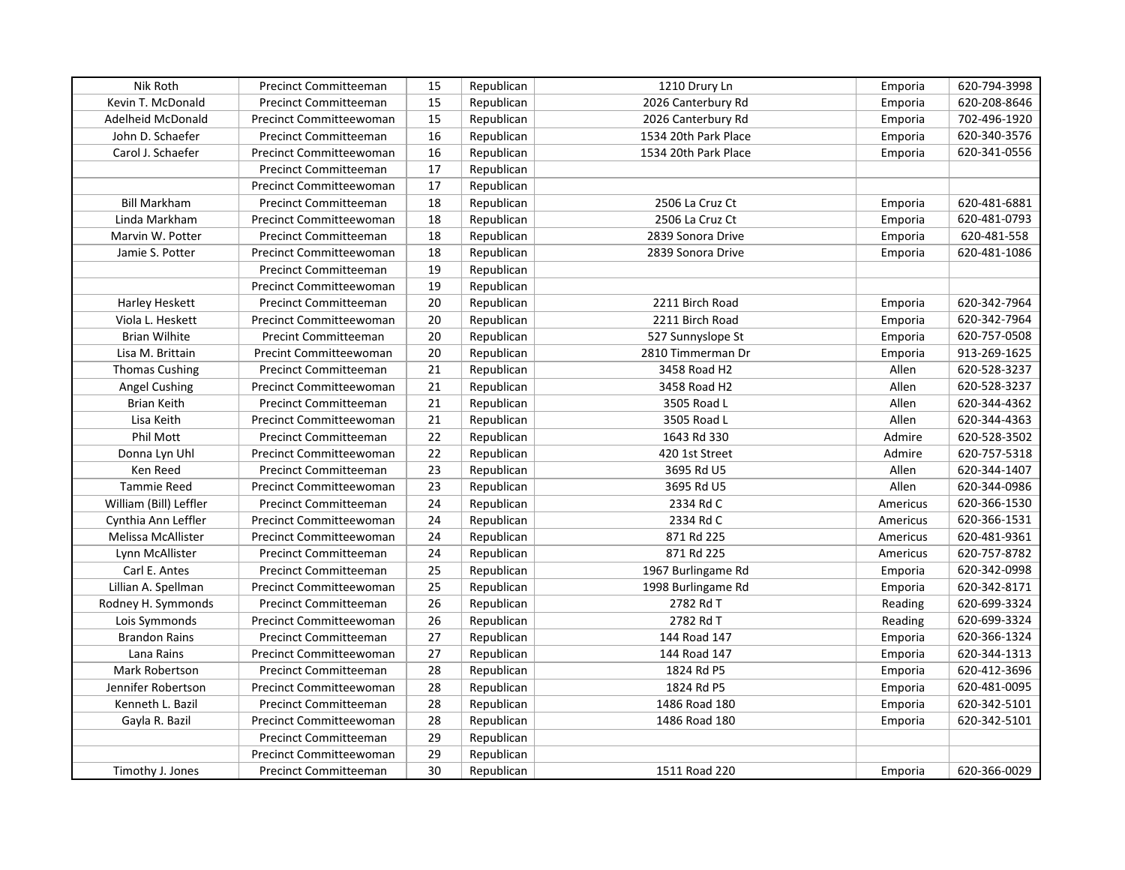| Nik Roth               | <b>Precinct Committeeman</b>   | 15 | Republican | 1210 Drury Ln        | Emporia  | 620-794-3998 |
|------------------------|--------------------------------|----|------------|----------------------|----------|--------------|
| Kevin T. McDonald      | <b>Precinct Committeeman</b>   | 15 | Republican | 2026 Canterbury Rd   | Emporia  | 620-208-8646 |
| Adelheid McDonald      | <b>Precinct Committeewoman</b> | 15 | Republican | 2026 Canterbury Rd   | Emporia  | 702-496-1920 |
| John D. Schaefer       | <b>Precinct Committeeman</b>   | 16 | Republican | 1534 20th Park Place | Emporia  | 620-340-3576 |
| Carol J. Schaefer      | <b>Precinct Committeewoman</b> | 16 | Republican | 1534 20th Park Place | Emporia  | 620-341-0556 |
|                        | <b>Precinct Committeeman</b>   | 17 | Republican |                      |          |              |
|                        | Precinct Committeewoman        | 17 | Republican |                      |          |              |
| <b>Bill Markham</b>    | <b>Precinct Committeeman</b>   | 18 | Republican | 2506 La Cruz Ct      | Emporia  | 620-481-6881 |
| Linda Markham          | Precinct Committeewoman        | 18 | Republican | 2506 La Cruz Ct      | Emporia  | 620-481-0793 |
| Marvin W. Potter       | <b>Precinct Committeeman</b>   | 18 | Republican | 2839 Sonora Drive    | Emporia  | 620-481-558  |
| Jamie S. Potter        | Precinct Committeewoman        | 18 | Republican | 2839 Sonora Drive    | Emporia  | 620-481-1086 |
|                        | <b>Precinct Committeeman</b>   | 19 | Republican |                      |          |              |
|                        | Precinct Committeewoman        | 19 | Republican |                      |          |              |
| Harley Heskett         | <b>Precinct Committeeman</b>   | 20 | Republican | 2211 Birch Road      | Emporia  | 620-342-7964 |
| Viola L. Heskett       | Precinct Committeewoman        | 20 | Republican | 2211 Birch Road      | Emporia  | 620-342-7964 |
| <b>Brian Wilhite</b>   | <b>Precint Committeeman</b>    | 20 | Republican | 527 Sunnyslope St    | Emporia  | 620-757-0508 |
| Lisa M. Brittain       | Precint Committeewoman         | 20 | Republican | 2810 Timmerman Dr    | Emporia  | 913-269-1625 |
| <b>Thomas Cushing</b>  | Precinct Committeeman          | 21 | Republican | 3458 Road H2         | Allen    | 620-528-3237 |
| <b>Angel Cushing</b>   | Precinct Committeewoman        | 21 | Republican | 3458 Road H2         | Allen    | 620-528-3237 |
| <b>Brian Keith</b>     | Precinct Committeeman          | 21 | Republican | 3505 Road L          | Allen    | 620-344-4362 |
| Lisa Keith             | <b>Precinct Committeewoman</b> | 21 | Republican | 3505 Road L          | Allen    | 620-344-4363 |
| Phil Mott              | <b>Precinct Committeeman</b>   | 22 | Republican | 1643 Rd 330          | Admire   | 620-528-3502 |
| Donna Lyn Uhl          | Precinct Committeewoman        | 22 | Republican | 420 1st Street       | Admire   | 620-757-5318 |
| Ken Reed               | <b>Precinct Committeeman</b>   | 23 | Republican | 3695 Rd U5           | Allen    | 620-344-1407 |
| <b>Tammie Reed</b>     | Precinct Committeewoman        | 23 | Republican | 3695 Rd U5           | Allen    | 620-344-0986 |
| William (Bill) Leffler | <b>Precinct Committeeman</b>   | 24 | Republican | 2334 Rd C            | Americus | 620-366-1530 |
| Cynthia Ann Leffler    | Precinct Committeewoman        | 24 | Republican | 2334 Rd C            | Americus | 620-366-1531 |
| Melissa McAllister     | Precinct Committeewoman        | 24 | Republican | 871 Rd 225           | Americus | 620-481-9361 |
| Lynn McAllister        | <b>Precinct Committeeman</b>   | 24 | Republican | 871 Rd 225           | Americus | 620-757-8782 |
| Carl E. Antes          | <b>Precinct Committeeman</b>   | 25 | Republican | 1967 Burlingame Rd   | Emporia  | 620-342-0998 |
| Lillian A. Spellman    | Precinct Committeewoman        | 25 | Republican | 1998 Burlingame Rd   | Emporia  | 620-342-8171 |
| Rodney H. Symmonds     | <b>Precinct Committeeman</b>   | 26 | Republican | 2782 Rd T            | Reading  | 620-699-3324 |
| Lois Symmonds          | <b>Precinct Committeewoman</b> | 26 | Republican | 2782 Rd T            | Reading  | 620-699-3324 |
| <b>Brandon Rains</b>   | Precinct Committeeman          | 27 | Republican | 144 Road 147         | Emporia  | 620-366-1324 |
| Lana Rains             | Precinct Committeewoman        | 27 | Republican | 144 Road 147         | Emporia  | 620-344-1313 |
| <b>Mark Robertson</b>  | <b>Precinct Committeeman</b>   | 28 | Republican | 1824 Rd P5           | Emporia  | 620-412-3696 |
| Jennifer Robertson     | <b>Precinct Committeewoman</b> | 28 | Republican | 1824 Rd P5           | Emporia  | 620-481-0095 |
| Kenneth L. Bazil       | <b>Precinct Committeeman</b>   | 28 | Republican | 1486 Road 180        | Emporia  | 620-342-5101 |
| Gayla R. Bazil         | Precinct Committeewoman        | 28 | Republican | 1486 Road 180        | Emporia  | 620-342-5101 |
|                        | <b>Precinct Committeeman</b>   | 29 | Republican |                      |          |              |
|                        | Precinct Committeewoman        | 29 | Republican |                      |          |              |
| Timothy J. Jones       | <b>Precinct Committeeman</b>   | 30 | Republican | 1511 Road 220        | Emporia  | 620-366-0029 |